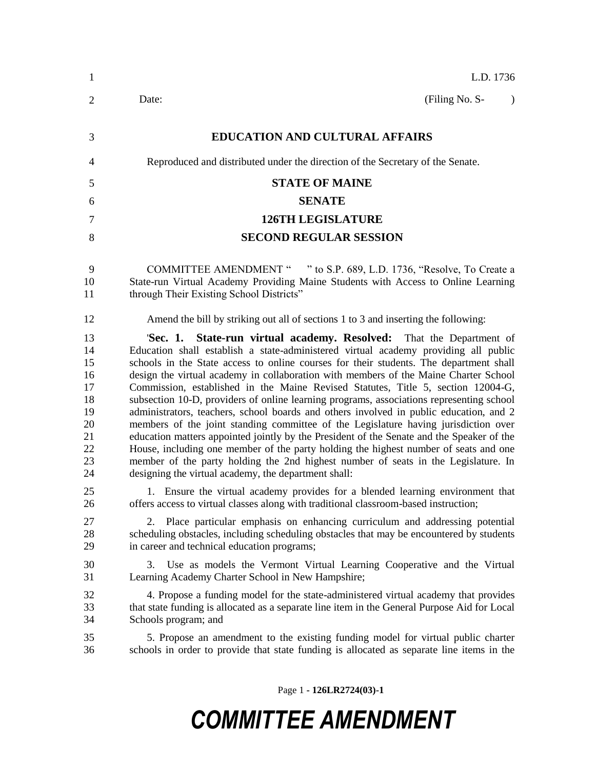| $\mathbf{1}$                                                         | L.D. 1736                                                                                                                                                                                                                                                                                                                                                                                                                                                                                                                                                                                                                                                                                                                                                                                                                                                                                                                                                                                                                                            |  |  |  |
|----------------------------------------------------------------------|------------------------------------------------------------------------------------------------------------------------------------------------------------------------------------------------------------------------------------------------------------------------------------------------------------------------------------------------------------------------------------------------------------------------------------------------------------------------------------------------------------------------------------------------------------------------------------------------------------------------------------------------------------------------------------------------------------------------------------------------------------------------------------------------------------------------------------------------------------------------------------------------------------------------------------------------------------------------------------------------------------------------------------------------------|--|--|--|
| $\overline{2}$                                                       | (Filing No. S-<br>Date:                                                                                                                                                                                                                                                                                                                                                                                                                                                                                                                                                                                                                                                                                                                                                                                                                                                                                                                                                                                                                              |  |  |  |
| 3                                                                    | <b>EDUCATION AND CULTURAL AFFAIRS</b>                                                                                                                                                                                                                                                                                                                                                                                                                                                                                                                                                                                                                                                                                                                                                                                                                                                                                                                                                                                                                |  |  |  |
| 4                                                                    | Reproduced and distributed under the direction of the Secretary of the Senate.                                                                                                                                                                                                                                                                                                                                                                                                                                                                                                                                                                                                                                                                                                                                                                                                                                                                                                                                                                       |  |  |  |
| 5                                                                    | <b>STATE OF MAINE</b>                                                                                                                                                                                                                                                                                                                                                                                                                                                                                                                                                                                                                                                                                                                                                                                                                                                                                                                                                                                                                                |  |  |  |
| 6                                                                    | <b>SENATE</b>                                                                                                                                                                                                                                                                                                                                                                                                                                                                                                                                                                                                                                                                                                                                                                                                                                                                                                                                                                                                                                        |  |  |  |
| 7                                                                    | <b>126TH LEGISLATURE</b>                                                                                                                                                                                                                                                                                                                                                                                                                                                                                                                                                                                                                                                                                                                                                                                                                                                                                                                                                                                                                             |  |  |  |
| 8                                                                    | <b>SECOND REGULAR SESSION</b>                                                                                                                                                                                                                                                                                                                                                                                                                                                                                                                                                                                                                                                                                                                                                                                                                                                                                                                                                                                                                        |  |  |  |
| 9<br>10<br>11                                                        | COMMITTEE AMENDMENT " " to S.P. 689, L.D. 1736, "Resolve, To Create a<br>State-run Virtual Academy Providing Maine Students with Access to Online Learning<br>through Their Existing School Districts"                                                                                                                                                                                                                                                                                                                                                                                                                                                                                                                                                                                                                                                                                                                                                                                                                                               |  |  |  |
| 12                                                                   | Amend the bill by striking out all of sections 1 to 3 and inserting the following:                                                                                                                                                                                                                                                                                                                                                                                                                                                                                                                                                                                                                                                                                                                                                                                                                                                                                                                                                                   |  |  |  |
| 13<br>14<br>15<br>16<br>17<br>18<br>19<br>20<br>21<br>22<br>23<br>24 | State-run virtual academy. Resolved: That the Department of<br>'Sec. 1.<br>Education shall establish a state-administered virtual academy providing all public<br>schools in the State access to online courses for their students. The department shall<br>design the virtual academy in collaboration with members of the Maine Charter School<br>Commission, established in the Maine Revised Statutes, Title 5, section 12004-G,<br>subsection 10-D, providers of online learning programs, associations representing school<br>administrators, teachers, school boards and others involved in public education, and 2<br>members of the joint standing committee of the Legislature having jurisdiction over<br>education matters appointed jointly by the President of the Senate and the Speaker of the<br>House, including one member of the party holding the highest number of seats and one<br>member of the party holding the 2nd highest number of seats in the Legislature. In<br>designing the virtual academy, the department shall: |  |  |  |
| 25<br>26                                                             | 1. Ensure the virtual academy provides for a blended learning environment that<br>offers access to virtual classes along with traditional classroom-based instruction;                                                                                                                                                                                                                                                                                                                                                                                                                                                                                                                                                                                                                                                                                                                                                                                                                                                                               |  |  |  |
| 27<br>28<br>29                                                       | Place particular emphasis on enhancing curriculum and addressing potential<br>2.<br>scheduling obstacles, including scheduling obstacles that may be encountered by students<br>in career and technical education programs;                                                                                                                                                                                                                                                                                                                                                                                                                                                                                                                                                                                                                                                                                                                                                                                                                          |  |  |  |
| 30<br>31                                                             | Use as models the Vermont Virtual Learning Cooperative and the Virtual<br>3.<br>Learning Academy Charter School in New Hampshire;                                                                                                                                                                                                                                                                                                                                                                                                                                                                                                                                                                                                                                                                                                                                                                                                                                                                                                                    |  |  |  |
| 32<br>33<br>34                                                       | 4. Propose a funding model for the state-administered virtual academy that provides<br>that state funding is allocated as a separate line item in the General Purpose Aid for Local<br>Schools program; and                                                                                                                                                                                                                                                                                                                                                                                                                                                                                                                                                                                                                                                                                                                                                                                                                                          |  |  |  |
| 35<br>36                                                             | 5. Propose an amendment to the existing funding model for virtual public charter<br>schools in order to provide that state funding is allocated as separate line items in the                                                                                                                                                                                                                                                                                                                                                                                                                                                                                                                                                                                                                                                                                                                                                                                                                                                                        |  |  |  |
|                                                                      |                                                                                                                                                                                                                                                                                                                                                                                                                                                                                                                                                                                                                                                                                                                                                                                                                                                                                                                                                                                                                                                      |  |  |  |

Page 1 **- 126LR2724(03)-1**

# *COMMITTEE AMENDMENT*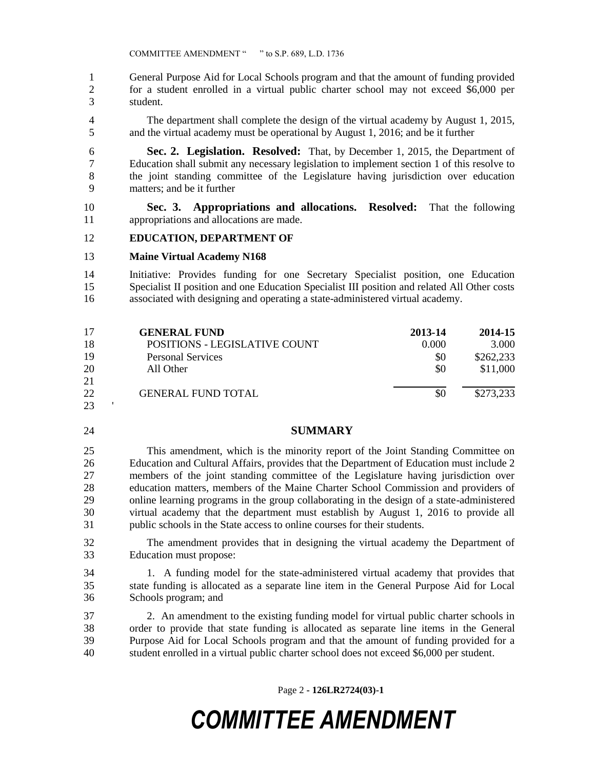General Purpose Aid for Local Schools program and that the amount of funding provided for a student enrolled in a virtual public charter school may not exceed \$6,000 per student.

- The department shall complete the design of the virtual academy by August 1, 2015, and the virtual academy must be operational by August 1, 2016; and be it further
- **Sec. 2. Legislation. Resolved:** That, by December 1, 2015, the Department of Education shall submit any necessary legislation to implement section 1 of this resolve to the joint standing committee of the Legislature having jurisdiction over education matters; and be it further
- **Sec. 3. Appropriations and allocations. Resolved:** That the following appropriations and allocations are made.

#### **EDUCATION, DEPARTMENT OF**

#### **Maine Virtual Academy N168**

 Initiative: Provides funding for one Secretary Specialist position, one Education Specialist II position and one Education Specialist III position and related All Other costs associated with designing and operating a state-administered virtual academy.

| 17 | <b>GENERAL FUND</b>                  | 2013-14 | 2014-15   |
|----|--------------------------------------|---------|-----------|
| 18 | <b>POSITIONS - LEGISLATIVE COUNT</b> | 0.000   | 3.000     |
| 19 | Personal Services                    | \$0     | \$262,233 |
| 20 | All Other                            | \$0     | \$11,000  |
| 21 |                                      |         |           |
| 22 | <b>GENERAL FUND TOTAL</b>            | \$0     | \$273,233 |
| 23 |                                      |         |           |

### **SUMMARY**

 This amendment, which is the minority report of the Joint Standing Committee on Education and Cultural Affairs, provides that the Department of Education must include 2 members of the joint standing committee of the Legislature having jurisdiction over education matters, members of the Maine Charter School Commission and providers of online learning programs in the group collaborating in the design of a state-administered virtual academy that the department must establish by August 1, 2016 to provide all public schools in the State access to online courses for their students.

- The amendment provides that in designing the virtual academy the Department of Education must propose:
- 1. A funding model for the state-administered virtual academy that provides that state funding is allocated as a separate line item in the General Purpose Aid for Local Schools program; and

 2. An amendment to the existing funding model for virtual public charter schools in order to provide that state funding is allocated as separate line items in the General Purpose Aid for Local Schools program and that the amount of funding provided for a student enrolled in a virtual public charter school does not exceed \$6,000 per student.

Page 2 **- 126LR2724(03)-1**

## *COMMITTEE AMENDMENT*